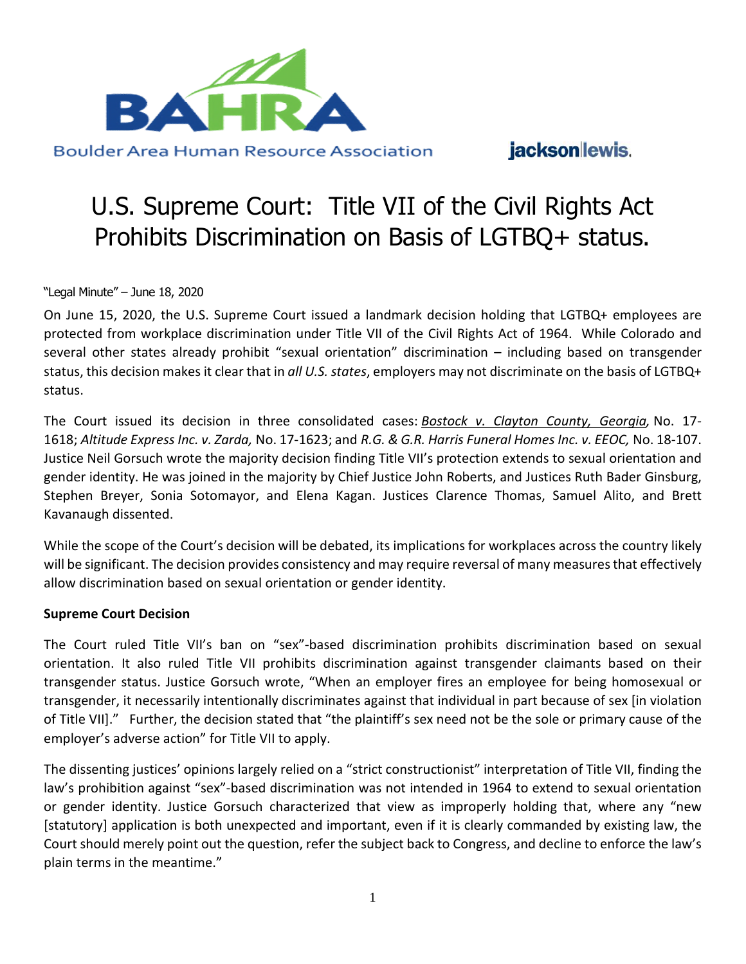

### jackson lewis.

# U.S. Supreme Court: Title VII of the Civil Rights Act Prohibits Discrimination on Basis of LGTBQ+ status.

"Legal Minute" – June 18, 2020

On June 15, 2020, the U.S. Supreme Court issued a landmark decision holding that LGTBQ+ employees are protected from workplace discrimination under Title VII of the Civil Rights Act of 1964. While Colorado and several other states already prohibit "sexual orientation" discrimination – including based on transgender status, this decision makes it clear that in *all U.S. states*, employers may not discriminate on the basis of LGTBQ+ status.

The Court issued its decision in three consolidated cases: *[Bostock v. Clayton County, Georgia,](https://www.supremecourt.gov/opinions/19pdf/17-1618_hfci.pdf)* No. 17- 1618; *Altitude Express Inc. v. Zarda,* No. 17-1623; and *R.G. & G.R. Harris Funeral Homes Inc. v. EEOC,* No. 18-107. Justice Neil Gorsuch wrote the majority decision finding Title VII's protection extends to sexual orientation and gender identity. He was joined in the majority by Chief Justice John Roberts, and Justices Ruth Bader Ginsburg, Stephen Breyer, Sonia Sotomayor, and Elena Kagan. Justices Clarence Thomas, Samuel Alito, and Brett Kavanaugh dissented.

While the scope of the Court's decision will be debated, its implications for workplaces across the country likely will be significant. The decision provides consistency and may require reversal of many measures that effectively allow discrimination based on sexual orientation or gender identity.

#### **Supreme Court Decision**

The Court ruled Title VII's ban on "sex"-based discrimination prohibits discrimination based on sexual orientation. It also ruled Title VII prohibits discrimination against transgender claimants based on their transgender status. Justice Gorsuch wrote, "When an employer fires an employee for being homosexual or transgender, it necessarily intentionally discriminates against that individual in part because of sex [in violation of Title VII]." Further, the decision stated that "the plaintiff's sex need not be the sole or primary cause of the employer's adverse action" for Title VII to apply.

The dissenting justices' opinions largely relied on a "strict constructionist" interpretation of Title VII, finding the law's prohibition against "sex"-based discrimination was not intended in 1964 to extend to sexual orientation or gender identity. Justice Gorsuch characterized that view as improperly holding that, where any "new [statutory] application is both unexpected and important, even if it is clearly commanded by existing law, the Court should merely point out the question, refer the subject back to Congress, and decline to enforce the law's plain terms in the meantime."